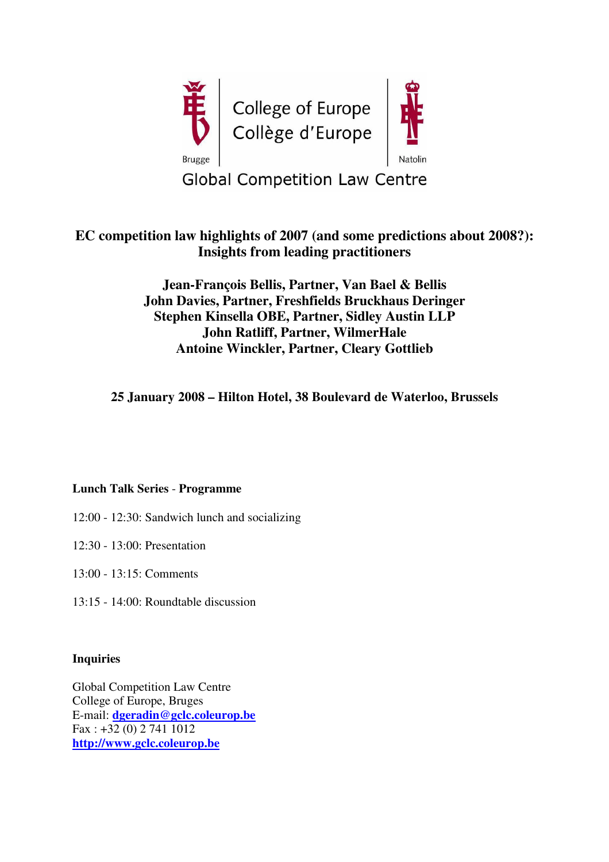

# **EC competition law highlights of 2007 (and some predictions about 2008?): Insights from leading practitioners**

**Jean-François Bellis, Partner, Van Bael & Bellis John Davies, Partner, Freshfields Bruckhaus Deringer Stephen Kinsella OBE, Partner, Sidley Austin LLP John Ratliff, Partner, WilmerHale Antoine Winckler, Partner, Cleary Gottlieb**

**25 January 2008 – Hilton Hotel, 38 Boulevard de Waterloo, Brussels**

## **Lunch Talk Series** - **Programme**

- 12:00 12:30: Sandwich lunch and socializing
- 12:30 13:00: Presentation
- 13:00 13:15: Comments
- 13:15 14:00: Roundtable discussion

#### **Inquiries**

Global Competition Law Centre College of Europe, Bruges E-mail: **dgeradin@gclc.coleurop.be** Fax : +32 (0) 2 741 1012 **http://www.gclc.coleurop.be**